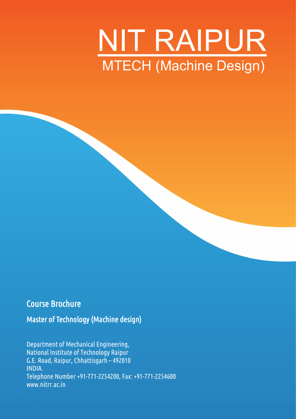# **NIT RAIPUR**<br>MTECH (Machine Design)

## Course Brochure

Master of Technology (Machine design)

Department of Mechanical Engineering, National Institute of Technology Raipur G.E. Road, Raipur, Chhattisgarh – 492010 INDIA. Telephone Number +91-771-2254200, Fax: +91-771-2254600 www.nitrr.ac.in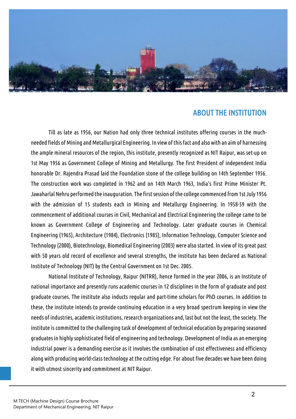

#### ABOUT THE INSTITUTION

Till as late as 1956, our Nation had only three technical institutes offering courses in the muchneeded fields of Mining and Metallurgical Engineering. In view of this fact and also with an aim of harnessing the ample mineral resources of the region, this institute, presently recognized as NIT Raipur, was set-up on 1st May 1956 as Government College of Mining and Metallurgy. The first President of independent India honorable Dr. Rajendra Prasad laid the Foundation stone of the college building on 14th September 1956. The construction work was completed in 1962 and on 14th March 1963, India's first Prime Minister Pt. Jawaharlal Nehru performed the inauguration. The first session of the college commenced from 1st July 1956 with the admission of 15 students each in Mining and Metallurgy Engineering. In 1958-59 with the commencement of additional courses in Civil, Mechanical and Electrical Engineering the college came to be known as Government College of Engineering and Technology. Later graduate courses in Chemical Engineering (1965), Architecture (1984), Electronics (1985), Information Technology, Computer Science and Technology (2000), Biotechnology, Biomedical Engineering (2003) were also started. In view of its great past with 50 years old record of excellence and several strengths, the institute has been declared as National Institute of Technology (NIT) by the Central Government on 1st Dec. 2005.

National Institute of Technology, Raipur (NITRR), hence formed in the year 2006, is an Institute of national importance and presently runs academic courses in 12 disciplines in the form of graduate and post graduate courses. The institute also inducts regular and part-time scholars for PhD courses. In addition to these, the institute intends to provide continuing education in a very broad spectrum keeping in view the needs of industries, academic institutions, research organizations and, last but not the least, the society. The institute is committed to the challenging task of development of technical education by preparing seasoned graduates in highly sophisticated field of engineering and technology. Development of India as an emerging industrial power is a demanding exercise as it involves the combination of cost effectiveness and efficiency along with producing world-class technology at the cutting edge. For about five decades we have been doing it with utmost sincerity and commitment at NIT Raipur.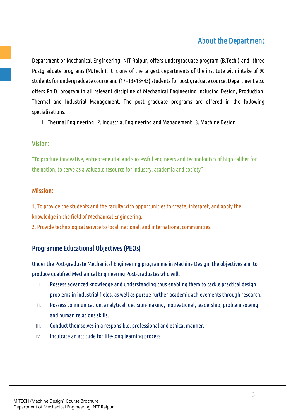## About the Department

Department of Mechanical Engineering, NIT Raipur, offers undergraduate program (B.Tech.) and three Postgraduate programs (M.Tech.). It is one of the largest departments of the institute with intake of 90 students for undergraduate course and (17+13+13=43) students for post graduate course. Department also offers Ph.D. program in all relevant discipline of Mechanical Engineering including Design, Production, Thermal and Industrial Management. The post graduate programs are offered in the following specializations:

1. Thermal Engineering 2. Industrial Engineering and Management 3. Machine Design

#### Vision:

"To produce innovative, entrepreneurial and successful engineers and technologists of high caliber for the nation, to serve as a valuable resource for industry, academia and society"

#### Mission:

1. To provide the students and the faculty with opportunities to create, interpret, and apply the knowledge in the field of Mechanical Engineering.

2. Provide technological service to local, national, and international communities.

#### Programme Educational Objectives (PEOs)

Under the Post-graduate Mechanical Engineering programme in Machine Design, the objectives aim to produce qualified Mechanical Engineering Post-graduates who will:

- I. Possess advanced knowledge and understanding thus enabling them to tackle practical design problems in industrial fields, as well as pursue further academic achievements through research.
- II. Possess communication, analytical, decision-making, motivational, leadership, problem solving and human relations skills.
- III. Conduct themselves in a responsible, professional and ethical manner.
- IV. Inculcate an attitude for life-long learning process.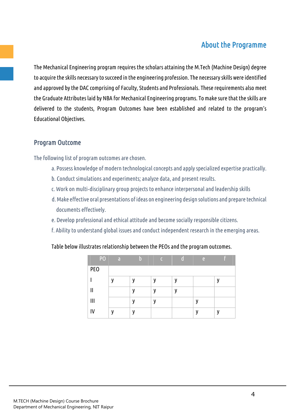## About the Programme

The Mechanical Engineering program requires the scholars attaining the M.Tech (Machine Design) degree to acquire the skills necessary to succeed in the engineering profession. The necessary skills were identified and approved by the DAC comprising of Faculty, Students and Professionals. These requirements also meet the Graduate Attributes laid by NBA for Mechanical Engineering programs. To make sure that the skills are delivered to the students, Program Outcomes have been established and related to the program's Educational Objectives.

#### Program Outcome

The following list of program outcomes are chosen.

- a. Possess knowledge of modern technological concepts and apply specialized expertise practically.
- b. Conduct simulations and experiments; analyze data, and present results.
- c. Work on multi‐disciplinary group projects to enhance interpersonal and leadership skills
- d. Make effective oral presentations of ideas on engineering design solutions and prepare technical documents effectively.
- e. Develop professional and ethical attitude and become socially responsible citizens.
- f. Ability to understand global issues and conduct independent research in the emerging areas.

#### Table below illustrates relationship between the PEOs and the program outcomes.

| PO           | $\mathsf{a}$ | D | $\epsilon$ | a | e |   |
|--------------|--------------|---|------------|---|---|---|
| PEO          |              |   |            |   |   |   |
|              | v            | v | V          | v |   | V |
| $\mathsf{I}$ |              | v | ٧          | y |   |   |
| Ш            |              | v | ٧          |   | v |   |
| IV           | V            | V |            |   | v | y |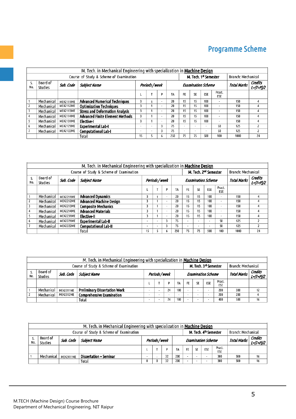# Programme Scheme

|                | M. Tech. in Mechanical Engineering with specialization in Machine Design |                  |                                         |                |                                           |                          |     |                          |                       |                          |                              |                           |                         |
|----------------|--------------------------------------------------------------------------|------------------|-----------------------------------------|----------------|-------------------------------------------|--------------------------|-----|--------------------------|-----------------------|--------------------------|------------------------------|---------------------------|-------------------------|
|                |                                                                          |                  | Course of Study & Scheme of Examination |                |                                           |                          |     |                          |                       | M. Tech. 1st Semester    |                              | <b>Branch: Mechanical</b> |                         |
| S.<br>No.      | Board of<br>Studies                                                      | Sub. Code        | <b>Subiect Name</b>                     |                | Periods/week<br><b>Examination Scheme</b> |                          |     |                          | Total Marks           | Credits<br>$L+(T+P)/2$   |                              |                           |                         |
|                |                                                                          |                  |                                         |                |                                           | p                        | TA  | FE                       | SE                    | ESE                      | Pract.<br>ESE                |                           |                         |
| $\mathbf{1}$   | Mechanical                                                               | <b>ME42111ME</b> | <b>Advanced Numerical Techniques</b>    |                |                                           |                          | 20  | 15                       | 15                    | 100                      | $\sim$                       | 150                       | 4                       |
| $\overline{c}$ | Mechanical                                                               | <b>ME42112ME</b> | <b>Optimization Techniques</b>          |                |                                           | ۰                        | 20  | 15                       | 15                    | 100                      | ٠                            | 150                       |                         |
| 3              | Mechanical                                                               | ME42113ME        | <b>Stress and Deformation Analysis</b>  |                |                                           |                          | 20  | 15                       | 15                    | 100                      |                              | 150                       |                         |
| 4              | Mechanical                                                               | <b>ME42114ME</b> | <b>Advanced Finite Element Methods</b>  |                |                                           | $\overline{\phantom{a}}$ | 20  | 15                       | 15                    | 100                      | $\qquad \qquad \blacksquare$ | 150                       |                         |
| 5              | Mechanical                                                               | ME42131ME        | Elective-I                              |                |                                           | ۰                        | 20  | 15                       | 15                    | 100                      | ۰                            | 150                       | 4                       |
| 6              | Mechanical                                                               | <b>ME42121ME</b> | Experimental Lab-I                      | $\blacksquare$ |                                           |                          | 75  | $\overline{\phantom{a}}$ | $\blacksquare$        | $\overline{\phantom{a}}$ | 50                           | 125                       | 2                       |
| $\overline{7}$ | Mechanical                                                               | <b>ME42122ME</b> | <b>Computational Lab-I</b>              |                |                                           |                          | 75  | ۰                        | $\tilde{\phantom{a}}$ | ۰                        | 50                           | 125                       | $\overline{\mathbf{z}}$ |
|                |                                                                          |                  | Total                                   | 15             |                                           | b                        | 250 | 75                       | 75                    | 500                      | 100                          | 1000                      | 24                      |
|                |                                                                          |                  |                                         |                |                                           |                          |     |                          |                       |                          |                              |                           |                         |

|                | M. Tech. in Mechanical Engineering with specialization in Machine Design |                  |                                         |                |                |                          |     |                          |                |                                   |                          |                           |                        |
|----------------|--------------------------------------------------------------------------|------------------|-----------------------------------------|----------------|----------------|--------------------------|-----|--------------------------|----------------|-----------------------------------|--------------------------|---------------------------|------------------------|
|                |                                                                          |                  | Course of Study & Scheme of Examination |                |                |                          |     |                          |                | M. Tech. 2 <sup>nd</sup> Semester |                          | <b>Branch: Mechanical</b> |                        |
| S.<br>No.      | Board of<br>Studies                                                      | Sub. Code        | Subject Name                            |                | Periods/week   |                          |     |                          |                | <b>Examination Scheme</b>         |                          | Total Marks               | Credits<br>$L+(T+P)/2$ |
|                |                                                                          |                  |                                         |                |                | p                        | TA  | FE                       | SE             | ESE                               | Pract.<br>ESE            |                           |                        |
|                | Mechanical                                                               | <b>ME42211ME</b> | <b>Advanced Dynamics</b>                |                |                | $\overline{\phantom{a}}$ | 20  | 15                       | 15             | 100                               | $\overline{\phantom{a}}$ | 150                       |                        |
| $\overline{c}$ | Mechanical                                                               | <b>ME42212ME</b> | <b>Advanced Machine Design</b>          |                |                | $\,$                     | 20  | 15                       | 15             | 100                               | $\overline{\phantom{a}}$ | 150                       |                        |
| $\overline{3}$ | Mechanical                                                               | <b>ME42213ME</b> | <b>Composite Mechanics</b>              | 5              |                | $\overline{\phantom{a}}$ | 20  | 15                       | 15             | 100                               | $\tilde{\phantom{a}}$    | 150                       |                        |
| 4              | Mechanical                                                               | <b>ME42214ME</b> | <b>Advanced Materials</b>               |                |                | $\overline{\phantom{a}}$ | 20  | 15                       | 15             | 100                               | $\blacksquare$           | 150                       |                        |
| 5              | Mechanical                                                               | <b>ME42231ME</b> | Elective-II                             |                |                | $\overline{\phantom{0}}$ | 20  | 15                       | 15             | 100                               | $\overline{\phantom{a}}$ | 150                       |                        |
| 6              | Mechanical                                                               | <b>ME42221ME</b> | <b>Experimental Lab-II</b>              | $\sim$         | ۰              |                          | 75  | ۰                        |                |                                   | 50                       | 125                       |                        |
| $\overline{7}$ | Mechanical                                                               | <b>ME42222ME</b> | <b>Computational Lab-II</b>             | $\blacksquare$ | $\blacksquare$ |                          | 75  | $\overline{\phantom{a}}$ | $\blacksquare$ |                                   | 50                       | 125                       |                        |
|                |                                                                          |                  | Total                                   | 15             |                | b                        | 250 | 75                       | 75             | 500                               | 100                      | 1000                      | 24                     |

|     | M. Tech. in Mechanical Engineering with specialization in <b>Machine Design</b> |                  |                                      |   |              |    |     |           |                                   |                           |                    |                    |                      |
|-----|---------------------------------------------------------------------------------|------------------|--------------------------------------|---|--------------|----|-----|-----------|-----------------------------------|---------------------------|--------------------|--------------------|----------------------|
|     | Course of Study & Scheme of Examination                                         |                  |                                      |   |              |    |     |           | M. Tech. 3 <sup>rd</sup> Semester |                           | Branch: Mechanical |                    |                      |
| No. | Board of<br>Studies                                                             | Sub. Code        | Subject Name                         |   | Periods/week |    |     |           |                                   | <b>Examination Scheme</b> |                    | <b>Total Marks</b> | Credits<br>L+(T+P)/2 |
|     |                                                                                 |                  |                                      |   |              |    | TA  | <b>FE</b> | <b>SE</b>                         | ESE                       | Pract.<br>ESE      |                    |                      |
|     | Mechanical                                                                      | <b>ME42311ME</b> | <b>Preliminary Dissertation Work</b> |   |              | 24 | 100 |           |                                   | $\blacksquare$            | 200                | 300                | 12                   |
| i 2 | Mechanical                                                                      | <b>ME42312ME</b> | <b>Comprehensive Examination</b>     |   |              |    |     |           |                                   |                           | 200                | 200                |                      |
|     |                                                                                 |                  | Total                                | ۰ |              | 24 | 100 |           |                                   | $\overline{\phantom{a}}$  | 400                | 500                | 16                   |

|     | M. Tech. in Mechanical Engineering with specialization in Machine Design                           |                  |                               |      |              |    |     |    |    |                           |               |                    |                      |
|-----|----------------------------------------------------------------------------------------------------|------------------|-------------------------------|------|--------------|----|-----|----|----|---------------------------|---------------|--------------------|----------------------|
|     | M. Tech. 4 <sup>th</sup> Semester<br>Course of Study & Scheme of Examination<br>Branch: Mechanical |                  |                               |      |              |    |     |    |    |                           |               |                    |                      |
| No. | Board of<br>Studies                                                                                | Sub. Code        | Subject Name                  |      | Periods/week |    |     |    |    | <b>Examination Scheme</b> |               | <b>Total Marks</b> | Credits<br>L+(T+P)/2 |
|     |                                                                                                    |                  |                               |      |              |    | TA  | FE | SE | ESE                       | Pract.<br>ESE |                    |                      |
|     | Mechanical                                                                                         | <b>ME42411ME</b> | <b>Dissertation + Seminar</b> | $\,$ |              | 32 | 200 |    |    |                           | 300           | 500                | 16                   |
|     |                                                                                                    |                  | Total                         |      |              |    | 200 |    |    |                           | 300           | 500                | 16                   |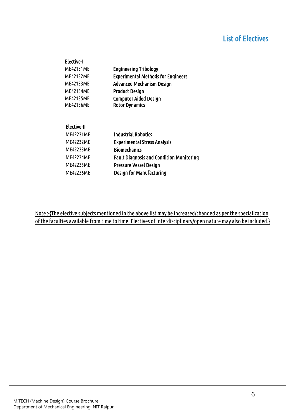# List of Electives

| <b>Elective-I</b> |                                           |
|-------------------|-------------------------------------------|
| <b>ME42131ME</b>  | <b>Engineering Tribology</b>              |
| <b>ME42132ME</b>  | <b>Experimental Methods for Engineers</b> |
| ME42133ME         | <b>Advanced Mechanism Design</b>          |
| <b>ME42134ME</b>  | <b>Product Design</b>                     |
| <b>ME42135ME</b>  | <b>Computer Aided Design</b>              |
| ME42136ME         | <b>Rotor Dynamics</b>                     |
|                   |                                           |

#### Elective-II

| <b>ME42231ME</b> | <b>Industrial Robotics</b>                      |
|------------------|-------------------------------------------------|
| <b>ME42232ME</b> | <b>Experimental Stress Analysis</b>             |
| <b>ME42233ME</b> | <b>Biomechanics</b>                             |
| <b>ME42234ME</b> | <b>Fault Diagnosis and Condition Monitoring</b> |
| <b>ME42235ME</b> | <b>Pressure Vessel Design</b>                   |
| ME42236ME        | <b>Design for Manufacturing</b>                 |

Note :-{The elective subjects mentioned in the above list may be increased/changed as per the specialization of the faculties available from time to time. Electives of interdisciplinary/open nature may also be included.}

 $\overline{a}$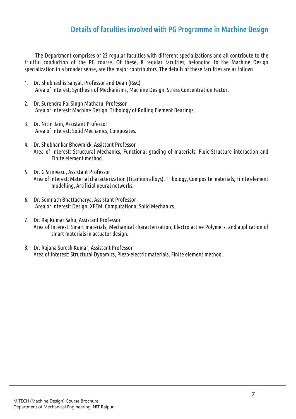## Details of faculties involved with PG Programme in Machine Design

 The Department comprises of 23 regular faculties with different specializations and all contribute to the fruitful conduction of the PG course. Of these, 8 regular faculties, belonging to the Machine Design specialization in a broader sense, are the major contributors. The details of these faculties are as follows.

- 1. Dr. Shubhashis Sanyal, Professor and Dean (R&C) Area of Interest: Synthesis of Mechanisms, Machine Design, Stress Concentration Factor.
- 2. Dr. Surendra Pal Singh Matharu, Professor Area of Interest: Machine Design, Tribology of Rolling Element Bearings.
- 3. Dr. Nitin Jain, Assistant Professor Area of Interest: Solid Mechanics, Composites.
- 4. Dr. Shubhankar Bhowmick, Assistant Professor Area of Interest: Structural Mechanics, Functional grading of materials, Fluid-Structure interaction and Finite element method.
- 5. Dr. G Srinivasu, Assistant Professor Area of Interest: Material characterization (Titanium alloys), Tribology, Composite materials, Finite element modelling, Artificial neural networks.
- 6. Dr. Somnath Bhattacharya, Assistant Professor Area of Interest: Design, XFEM, Computational Solid Mechanics.
- 7. Dr. Raj Kumar Sahu, Assistant Professor Area of Interest: Smart materials, Mechanical characterization, Electro active Polymers, and application of smart materials in actuator design.
- 8. Dr. Rajana Suresh Kumar, Assistant Professor Area of Interest: Structural Dynamics, Piezo-electric materials, Finite element method.

 $\overline{a}$